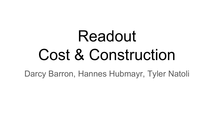# Readout Cost & Construction

Darcy Barron, Hannes Hubmayr, Tyler Natoli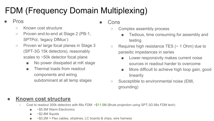## FDM (Frequency Domain Multiplexing)

#### **Pros**

- Known cost structure
- Proven end-to-end at Stage 2 (PB-1, SPTPol, 'legacy DfMux')
- Proven w/ large focal planes in Stage 3 (SPT-3G 15k detectors), reasonably scales to ~50k detector focal plane
	- No power dissipated at mK stage
	- Thermal loads from readout components and wiring subdominant at all temp stages
- Cons
	- Complex assembly process
		- Tedious, time consuming for assembly and testing
	- $\circ$  Requires high resistance TES ( $\sim$  1 Ohm) due to parasitic impedances in series
		- Lower responsivity makes current noise sources in readout harder to overcome
		- More difficult to achieve high loop gain, good linearity
	- Susceptible to environmental noise (EMI, grounding)

#### ● **Known cost structure**

- Cost to readout 300k detectors with 68x FDM: ~\$11.5M (Brute projection using SPT-3G 68x FDM tech)
	- ~\$5.5M Warm Electronics
	- $\blacksquare$  ~\$2.8M Squids
	- $\blacksquare$  ~\$3.2M = Flex cables, striplines, LC boards & chips, wire harness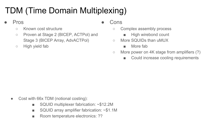## TDM (Time Domain Multiplexing)

#### **Pros**

- Known cost structure
- Proven at Stage 2 (BICEP, ACTPol) and Stage 3 (BICEP Array, AdvACTPol)
- High yield fab

#### **Cons**

- Complex assembly process
	- High wirebond count
- More SQUIDs than uMUX
	- More fab
- More power on 4K stage from amplifiers (?)
	- Could increase cooling requirements

- Cost with 66x TDM (notional costing):
	- SQUID multiplexer fabrication: ~\$12.2M
	- SQUID array amplifier fabrication: ~\$1.1M
	- Room temperature electronics: ??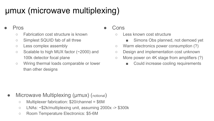### μmux (microwave multiplexing)

#### **Pros**

- Fabrication cost structure is known
- Simplest SQUID fab of all three
- Less complex assembly
- Scalable to high MUX factor (~2000) and 100k detector focal plane
- Wiring thermal loads comparable or lower than other designs

#### Cons

- Less known cost structure
	- Simons Obs planned, not demoed yet
- Warm electronics power consumption (?)
- Design and implementation cost unknown
- More power on 4K stage from amplifiers (?)
	- Could increase cooling requirements

- **Microwave Multiplexing (μmux) (notional)** 
	- Multiplexer fabrication: \$20/channel = \$6M
	- LNAs: ~\$2k/multiplexing unit, assuming 2000x -> \$300k
	- Room Temperature Electronics: \$5-6M